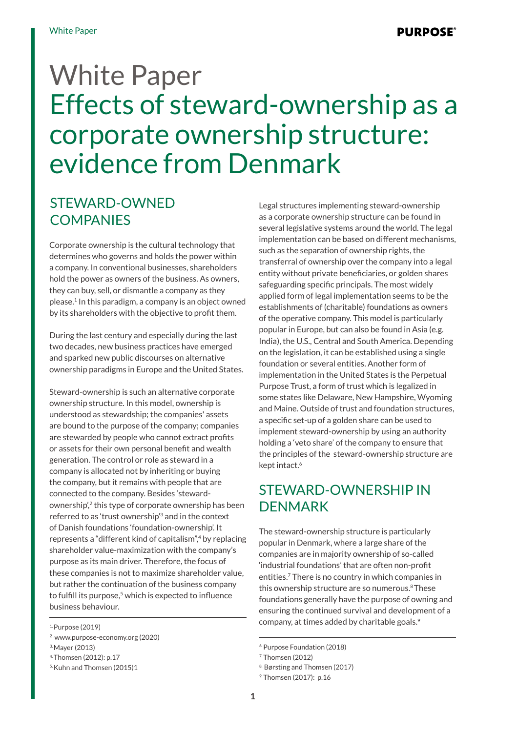# White Paper Effects of steward-ownership as a corporate ownership structure: evidence from Denmark

## STEWARD-OWNED **COMPANIES**

Corporate ownership is the cultural technology that determines who governs and holds the power within a company. In conventional businesses, shareholders hold the power as owners of the business. As owners, they can buy, sell, or dismantle a company as they please.1 In this paradigm, a company is an object owned by its shareholders with the objective to profit them.

During the last century and especially during the last two decades, new business practices have emerged and sparked new public discourses on alternative ownership paradigms in Europe and the United States.

Steward-ownership is such an alternative corporate ownership structure. In this model, ownership is understood as stewardship; the companies' assets are bound to the purpose of the company; companies are stewarded by people who cannot extract profits or assets for their own personal benefit and wealth generation. The control or role as steward in a company is allocated not by inheriting or buying the company, but it remains with people that are connected to the company. Besides 'stewardownership<sup>'</sup>,<sup>2</sup> this type of corporate ownership has been referred to as 'trust ownership'3 and in the context of Danish foundations 'foundation-ownership'. It represents a "different kind of capitalism",4 by replacing shareholder value-maximization with the company's purpose as its main driver. Therefore, the focus of these companies is not to maximize shareholder value, but rather the continuation of the business company to fulfill its purpose.<sup>5</sup> which is expected to influence business behaviour.

1. Purpose (2019)

Legal structures implementing steward-ownership as a corporate ownership structure can be found in several legislative systems around the world. The legal implementation can be based on different mechanisms, such as the separation of ownership rights, the transferral of ownership over the company into a legal entity without private beneficiaries, or golden shares safeguarding specific principals. The most widely applied form of legal implementation seems to be the establishments of (charitable) foundations as owners of the operative company. This model is particularly popular in Europe, but can also be found in Asia (e.g. India), the U.S., Central and South America. Depending on the legislation, it can be established using a single foundation or several entities. Another form of implementation in the United States is the Perpetual Purpose Trust, a form of trust which is legalized in some states like Delaware, New Hampshire, Wyoming and Maine. Outside of trust and foundation structures, a specific set-up of a golden share can be used to implement steward-ownership by using an authority holding a 'veto share' of the company to ensure that the principles of the steward-ownership structure are kept intact.<sup>6</sup>

#### STEWARD-OWNERSHIP IN DENMARK

The steward-ownership structure is particularly popular in Denmark, where a large share of the companies are in majority ownership of so-called 'industrial foundations' that are often non-profit entities.7 There is no country in which companies in this ownership structure are so numerous.<sup>8</sup> These foundations generally have the purpose of owning and ensuring the continued survival and development of a company, at times added by charitable goals.<sup>9</sup>

<sup>2 .</sup> www.purpose-economy.org (2020)

<sup>3.</sup> Mayer (2013)

<sup>4.</sup> Thomsen (2012): p.17

<sup>5.</sup> Kuhn and Thomsen (2015)1

<sup>6.</sup> Purpose Foundation (2018)

<sup>7.</sup> Thomsen (2012)

<sup>8.</sup> Børsting and Thomsen (2017)

<sup>9.</sup> Thomsen (2017): p.16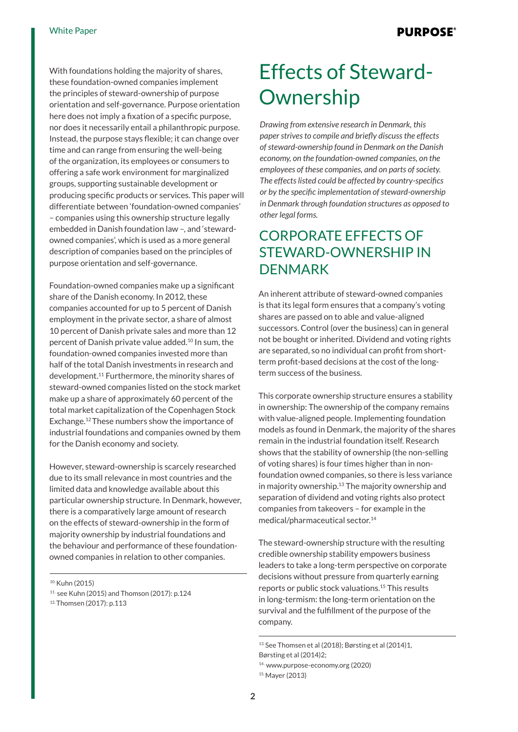With foundations holding the majority of shares, these foundation-owned companies implement the principles of steward-ownership of purpose orientation and self-governance. Purpose orientation here does not imply a fixation of a specific purpose, nor does it necessarily entail a philanthropic purpose. Instead, the purpose stays flexible; it can change over time and can range from ensuring the well-being of the organization, its employees or consumers to offering a safe work environment for marginalized groups, supporting sustainable development or producing specific products or services. This paper will differentiate between 'foundation-owned companies' – companies using this ownership structure legally embedded in Danish foundation law –, and 'stewardowned companies', which is used as a more general description of companies based on the principles of purpose orientation and self-governance.

Foundation-owned companies make up a significant share of the Danish economy. In 2012, these companies accounted for up to 5 percent of Danish employment in the private sector, a share of almost 10 percent of Danish private sales and more than 12 percent of Danish private value added.10 In sum, the foundation-owned companies invested more than half of the total Danish investments in research and development.11 Furthermore, the minority shares of steward-owned companies listed on the stock market make up a share of approximately 60 percent of the total market capitalization of the Copenhagen Stock Exchange.12 These numbers show the importance of industrial foundations and companies owned by them for the Danish economy and society.

However, steward-ownership is scarcely researched due to its small relevance in most countries and the limited data and knowledge available about this particular ownership structure. In Denmark, however, there is a comparatively large amount of research on the effects of steward-ownership in the form of majority ownership by industrial foundations and the behaviour and performance of these foundationowned companies in relation to other companies.

10. Kuhn (2015)

## Effects of Steward-**Ownership**

*Drawing from extensive research in Denmark, this paper strives to compile and briefly discuss the effects of steward-ownership found in Denmark on the Danish economy, on the foundation-owned companies, on the employees of these companies, and on parts of society. The effects listed could be affected by country-specifics or by the specific implementation of steward-ownership in Denmark through foundation structures as opposed to other legal forms.* 

#### CORPORATE EFFECTS OF STEWARD-OWNERSHIP IN **DENMARK**

An inherent attribute of steward-owned companies is that its legal form ensures that a company's voting shares are passed on to able and value-aligned successors. Control (over the business) can in general not be bought or inherited. Dividend and voting rights are separated, so no individual can profit from shortterm profit-based decisions at the cost of the longterm success of the business.

This corporate ownership structure ensures a stability in ownership: The ownership of the company remains with value-aligned people. Implementing foundation models as found in Denmark, the majority of the shares remain in the industrial foundation itself. Research shows that the stability of ownership (the non-selling of voting shares) is four times higher than in nonfoundation owned companies, so there is less variance in majority ownership.<sup>13</sup> The majority ownership and separation of dividend and voting rights also protect companies from takeovers – for example in the medical/pharmaceutical sector.14

The steward-ownership structure with the resulting credible ownership stability empowers business leaders to take a long-term perspective on corporate decisions without pressure from quarterly earning reports or public stock valuations.15 This results in long-termism: the long-term orientation on the survival and the fulfillment of the purpose of the company.

<sup>11 .</sup> see Kuhn (2015) and Thomson (2017): p.124

<sup>12.</sup> Thomsen (2017): p.113

<sup>13.</sup> See Thomsen et al (2018); Børsting et al (2014)1,

Børsting et al (2014)2;

<sup>14 .</sup> www.purpose-economy.org (2020)

<sup>15.</sup> Mayer (2013)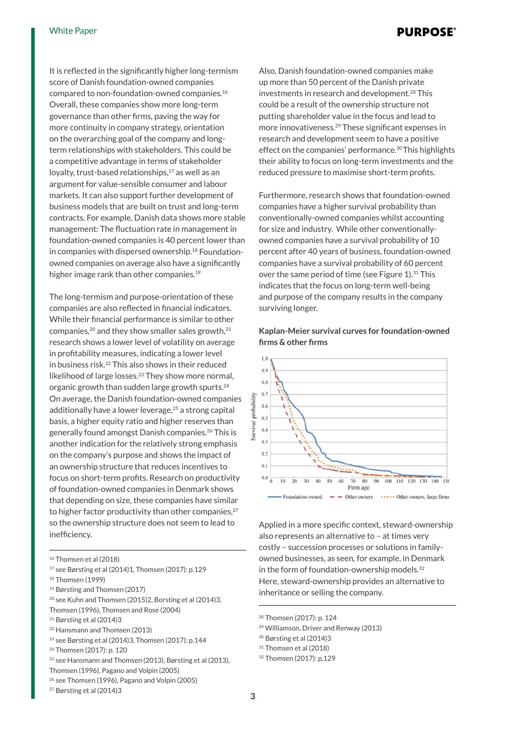It is reflected in the significantly higher long-termism score of Danish foundation-owned companies compared to non-foundation-owned companies.16 Overall, these companies show more long-term governance than other firms, paving the way for more continuity in company strategy, orientation on the overarching goal of the company and longterm relationships with stakeholders. This could be a competitive advantage in terms of stakeholder loyalty, trust-based relationships, $17$  as well as an argument for value-sensible consumer and labour markets. It can also support further development of business models that are built on trust and long-term contracts. For example, Danish data shows more stable management: The fluctuation rate in management in foundation-owned companies is 40 percent lower than in companies with dispersed ownership.<sup>18</sup> Foundationowned companies on average also have a significantly higher image rank than other companies.<sup>19</sup>

The long-termism and purpose-orientation of these companies are also reflected in financial indicators. While their financial performance is similar to other companies, $^{20}$  and they show smaller sales growth, $^{21}$ research shows a lower level of volatility on average in profitability measures, indicating a lower level in business risk.22 This also shows in their reduced likelihood of large losses.23 They show more normal, organic growth than sudden large growth spurts.24 On average, the Danish foundation-owned companies additionally have a lower leverage,<sup>25</sup> a strong capital basis, a higher equity ratio and higher reserves than generally found amongst Danish companies.26 This is another indication for the relatively strong emphasis on the company's purpose and shows the impact of an ownership structure that reduces incentives to focus on short-term profits. Research on productivity of foundation-owned companies in Denmark shows that depending on size, these companies have similar to higher factor productivity than other companies, $27$ so the ownership structure does not seem to lead to inefficiency.

- 17. see Børsting et al (2014)1, Thomsen (2017): p.129
- 18. Thomsen (1999)
- 19. Børsting and Thomsen (2017)
- 20. see Kuhn and Thomsen (2015)2, Borsting et al (2014)3,
- Thomsen (1996), Thomsen and Rose (2004)
- 21. Børsting et al (2014)3
- 22. Hansmann and Thomsen (2013)
- 23. see Børsting et al (2014)3, Thomsen (2017): p.144
- 24. Thomsen (2017): p. 120
- 25. see Hansmann and Thomsen (2013), Børsting et al (2013),
- Thomsen (1996), Pagano and Volpin (2005)
- 26. see Thomsen (1996), Pagano and Volpin (2005)
- 27. Børsting et al (2014)3

Also, Danish foundation-owned companies make up more than 50 percent of the Danish private investments in research and development.<sup>28</sup> This could be a result of the ownership structure not putting shareholder value in the focus and lead to more innovativeness.<sup>29</sup> These significant expenses in research and development seem to have a positive effect on the companies' performance.<sup>30</sup> This highlights their ability to focus on long-term investments and the reduced pressure to maximise short-term profits.

Furthermore, research shows that foundation-owned companies have a higher survival probability than conventionally-owned companies whilst accounting for size and industry. While other conventionallyowned companies have a survival probability of 10 percent after 40 years of business, foundation-owned companies have a survival probability of 60 percent over the same period of time (see Figure 1).<sup>31</sup> This indicates that the focus on long-term well-being and purpose of the company results in the company surviving longer.

#### **Kaplan-Meier survival curves for foundation-owned fi rms & other fi rms**



Applied in a more specific context, steward-ownership also represents an alternative to – at times very costly – succession processes or solutions in familyowned businesses, as seen, for example, in Denmark in the form of foundation-ownership models.<sup>32</sup> Here, steward-ownership provides an alternative to inheritance or selling the company.

- 28. Thomsen (2017): p. 124
- 29. Williamson, Driver and Renway (2013)
- 30. Børsting et al (2014)3
- 31. Thomsen et al (2018)
- 32. Thomsen (2017): p.129

<sup>16.</sup> Thomsen et al (2018)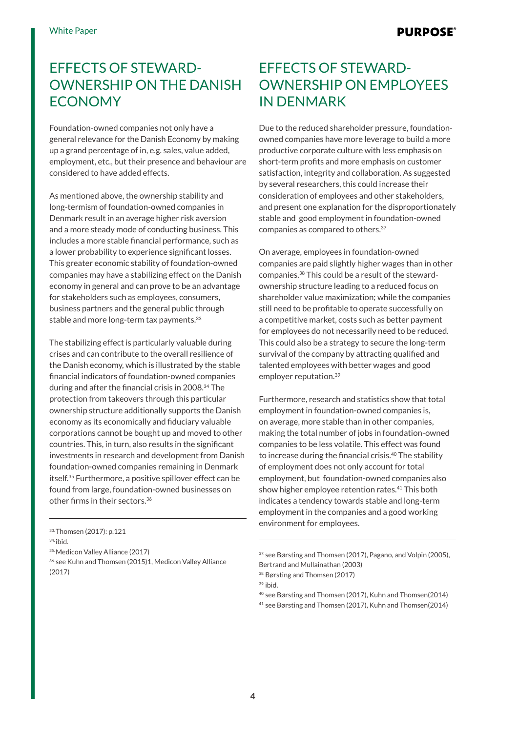## EFFECTS OF STEWARD-OWNERSHIP ON THE DANISH ECONOMY

Foundation-owned companies not only have a general relevance for the Danish Economy by making up a grand percentage of in, e.g. sales, value added, employment, etc., but their presence and behaviour are considered to have added effects.

As mentioned above, the ownership stability and long-termism of foundation-owned companies in Denmark result in an average higher risk aversion and a more steady mode of conducting business. This includes a more stable financial performance, such as a lower probability to experience significant losses. This greater economic stability of foundation-owned companies may have a stabilizing effect on the Danish economy in general and can prove to be an advantage for stakeholders such as employees, consumers, business partners and the general public through stable and more long-term tax payments.<sup>33</sup>

The stabilizing effect is particularly valuable during crises and can contribute to the overall resilience of the Danish economy, which is illustrated by the stable financial indicators of foundation-owned companies during and after the financial crisis in 2008.34 The protection from takeovers through this particular ownership structure additionally supports the Danish economy as its economically and fiduciary valuable corporations cannot be bought up and moved to other countries. This, in turn, also results in the significant investments in research and development from Danish foundation-owned companies remaining in Denmark itself.35 Furthermore, a positive spillover effect can be found from large, foundation-owned businesses on other firms in their sectors.<sup>36</sup>

## EFFECTS OF STEWARD-OWNERSHIP ON EMPLOYEES IN DENMARK

Due to the reduced shareholder pressure, foundationowned companies have more leverage to build a more productive corporate culture with less emphasis on short-term profits and more emphasis on customer satisfaction, integrity and collaboration. As suggested by several researchers, this could increase their consideration of employees and other stakeholders, and present one explanation for the disproportionately stable and good employment in foundation-owned companies as compared to others.37

On average, employees in foundation-owned companies are paid slightly higher wages than in other companies.38 This could be a result of the stewardownership structure leading to a reduced focus on shareholder value maximization; while the companies still need to be profitable to operate successfully on a competitive market, costs such as better payment for employees do not necessarily need to be reduced. This could also be a strategy to secure the long-term survival of the company by attracting qualified and talented employees with better wages and good employer reputation.39

Furthermore, research and statistics show that total employment in foundation-owned companies is, on average, more stable than in other companies, making the total number of jobs in foundation-owned companies to be less volatile. This effect was found to increase during the financial crisis.<sup>40</sup> The stability of employment does not only account for total employment, but foundation-owned companies also show higher employee retention rates.41 This both indicates a tendency towards stable and long-term employment in the companies and a good working environment for employees.

<sup>33.</sup> Thomsen (2017): p.121

<sup>34.</sup> ibid.

<sup>35.</sup> Medicon Valley Alliance (2017)

<sup>36.</sup> see Kuhn and Thomsen (2015) 1, Medicon Valley Alliance (2017)

<sup>37.</sup> see Børsting and Thomsen (2017), Pagano, and Volpin (2005), Bertrand and Mullainathan (2003)

<sup>38.</sup> Børsting and Thomsen (2017)

<sup>39.</sup> ibid.

<sup>40.</sup> see Børsting and Thomsen (2017), Kuhn and Thomsen(2014)

<sup>41.</sup> see Børsting and Thomsen (2017), Kuhn and Thomsen(2014)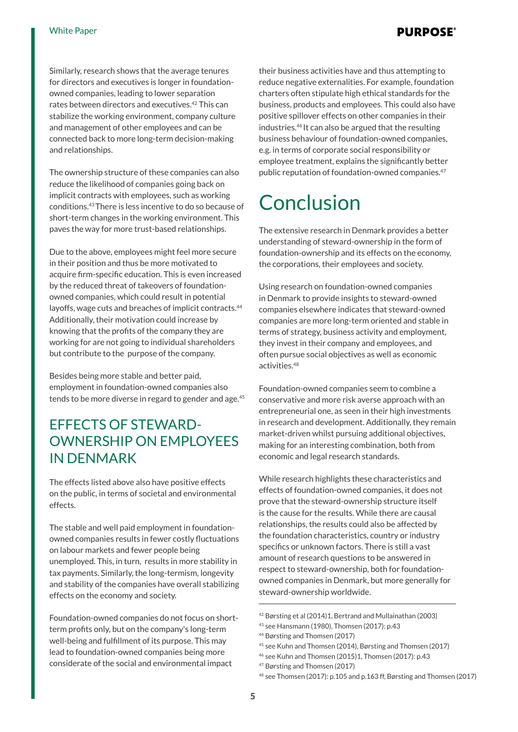#### **PURPOSE®**

Similarly, research shows that the average tenures for directors and executives is longer in foundationowned companies, leading to lower separation rates between directors and executives.42 This can stabilize the working environment, company culture and management of other employees and can be connected back to more long-term decision-making and relationships.

The ownership structure of these companies can also reduce the likelihood of companies going back on implicit contracts with employees, such as working conditions.43 There is less incentive to do so because of short-term changes in the working environment. This paves the way for more trust-based relationships.

Due to the above, employees might feel more secure in their position and thus be more motivated to acquire firm-specific education. This is even increased by the reduced threat of takeovers of foundationowned companies, which could result in potential layoffs, wage cuts and breaches of implicit contracts.<sup>44</sup> Additionally, their motivation could increase by knowing that the profits of the company they are working for are not going to individual shareholders but contribute to the purpose of the company.

Besides being more stable and better paid, employment in foundation-owned companies also tends to be more diverse in regard to gender and age.<sup>45</sup>

## EFFECTS OF STEWARD-OWNERSHIP ON EMPLOYEES IN DENMARK

The effects listed above also have positive effects on the public, in terms of societal and environmental effects.

The stable and well paid employment in foundationowned companies results in fewer costly fluctuations on labour markets and fewer people being unemployed. This, in turn, results in more stability in tax payments. Similarly, the long-termism, longevity and stability of the companies have overall stabilizing effects on the economy and society.

Foundation-owned companies do not focus on shortterm profits only, but on the company's long-term well-being and fulfillment of its purpose. This may lead to foundation-owned companies being more considerate of the social and environmental impact

their business activities have and thus attempting to reduce negative externalities. For example, foundation charters often stipulate high ethical standards for the business, products and employees. This could also have positive spillover effects on other companies in their industries.46 It can also be argued that the resulting business behaviour of foundation-owned companies, e.g. in terms of corporate social responsibility or employee treatment, explains the significantly better public reputation of foundation-owned companies.47

# Conclusion

The extensive research in Denmark provides a better understanding of steward-ownership in the form of foundation-ownership and its effects on the economy, the corporations, their employees and society.

Using research on foundation-owned companies in Denmark to provide insights to steward-owned companies elsewhere indicates that steward-owned companies are more long-term oriented and stable in terms of strategy, business activity and employment, they invest in their company and employees, and often pursue social objectives as well as economic activities.48

Foundation-owned companies seem to combine a conservative and more risk averse approach with an entrepreneurial one, as seen in their high investments in research and development. Additionally, they remain market-driven whilst pursuing additional objectives, making for an interesting combination, both from economic and legal research standards.

While research highlights these characteristics and effects of foundation-owned companies, it does not prove that the steward-ownership structure itself is the cause for the results. While there are causal relationships, the results could also be affected by the foundation characteristics, country or industry specifics or unknown factors. There is still a vast amount of research questions to be answered in respect to steward-ownership, both for foundationowned companies in Denmark, but more generally for steward-ownership worldwide.

<sup>42.</sup> Børsting et al (2014)1, Bertrand and Mullainathan (2003)

<sup>43.</sup> see Hansmann (1980), Thomsen (2017): p.43

<sup>44.</sup> Børsting and Thomsen (2017)

<sup>45.</sup> see Kuhn and Thomsen (2014), Børsting and Thomsen (2017)

<sup>46.</sup> see Kuhn and Thomsen (2015)1, Thomsen (2017): p.43

<sup>47.</sup> Børsting and Thomsen (2017)

<sup>48.</sup> see Thomsen (2017): p.105 and p.163 ff, Børsting and Thomsen (2017)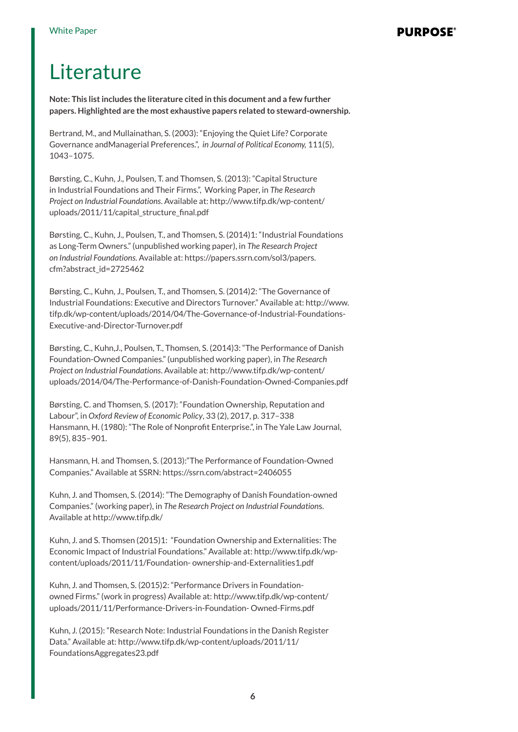## Literature

**Note: This list includes the literature cited in this document and a few further papers. Highlighted are the most exhaustive papers related to steward-ownership.** 

Bertrand, M., and Mullainathan, S. (2003): "Enjoying the Quiet Life? Corporate Governance andManagerial Preferences.", *in Journal of Political Economy,* 111(5), 1043–1075.

Børsting, C., Kuhn, J., Poulsen, T. and Thomsen, S. (2013): "Capital Structure in Industrial Foundations and Their Firms.", Working Paper, in *The Research Project on Industrial Foundations*. Available at: http://www.tifp.dk/wp-content/ uploads/2011/11/capital\_structure\_final.pdf

Børsting, C., Kuhn, J., Poulsen, T., and Thomsen, S. (2014)1: "Industrial Foundations as Long-Term Owners." (unpublished working paper), in *The Research Project on Industrial Foundations*. Available at: https://papers.ssrn.com/sol3/papers. cfm?abstract\_id=2725462

Børsting, C., Kuhn, J., Poulsen, T., and Thomsen, S. (2014)2: "The Governance of Industrial Foundations: Executive and Directors Turnover." Available at: http://www. tifp.dk/wp-content/uploads/2014/04/The-Governance-of-Industrial-Foundations-Executive-and-Director-Turnover.pdf

Børsting, C., Kuhn,J., Poulsen, T., Thomsen, S. (2014)3: "The Performance of Danish Foundation-Owned Companies." (unpublished working paper), in *The Research Project on Industrial Foundations*. Available at: http://www.tifp.dk/wp-content/ uploads/2014/04/The-Performance-of-Danish-Foundation-Owned-Companies.pdf

Børsting, C. and Thomsen, S. (2017): "Foundation Ownership, Reputation and Labour", in *Oxford Review of Economic Policy*, 33 (2), 2017, p. 317–338 Hansmann, H. (1980): "The Role of Nonprofit Enterprise.", in The Yale Law Journal, 89(5), 835–901.

Hansmann, H. and Thomsen, S. (2013):"The Performance of Foundation-Owned Companies." Available at SSRN: https://ssrn.com/abstract=2406055

Kuhn, J. and Thomsen, S. (2014): "The Demography of Danish Foundation-owned Companies." (working paper), in *The Research Project on Industrial Foundation*s. Available at http://www.tifp.dk/

Kuhn, J. and S. Thomsen (2015)1: "Foundation Ownership and Externalities: The Economic Impact of Industrial Foundations." Available at: http://www.tifp.dk/wpcontent/uploads/2011/11/Foundation- ownership-and-Externalities1.pdf

Kuhn, J. and Thomsen, S. (2015)2: "Performance Drivers in Foundationowned Firms." (work in progress) Available at: http://www.tifp.dk/wp-content/ uploads/2011/11/Performance-Drivers-in-Foundation- Owned-Firms.pdf

Kuhn, J. (2015): "Research Note: Industrial Foundations in the Danish Register Data." Available at: http://www.tifp.dk/wp-content/uploads/2011/11/ FoundationsAggregates23.pdf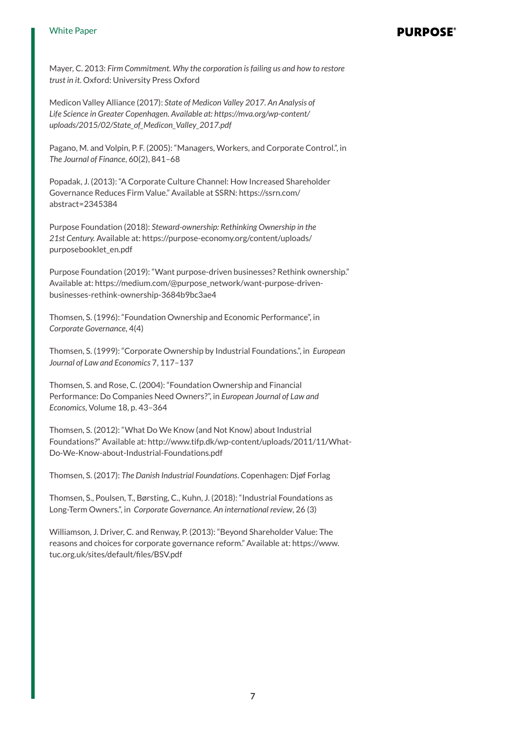#### White Paper

#### **PURPOSE**

Mayer, C. 2013: *Firm Commitment. Why the corporation is failing us and how to restore trust in it*. Oxford: University Press Oxford

Medicon Valley Alliance (2017): *State of Medicon Valley 2017. An Analysis of Life Science in Greater Copenhagen. Available at: https://mva.org/wp-content/ uploads/2015/02/State\_of\_Medicon\_Valley\_2017.pdf*

Pagano, M. and Volpin, P. F. (2005): "Managers, Workers, and Corporate Control.", in *The Journal of Finance*, 60(2), 841–68

Popadak, J. (2013): "A Corporate Culture Channel: How Increased Shareholder Governance Reduces Firm Value." Available at SSRN: https://ssrn.com/ abstract=2345384

Purpose Foundation (2018): *Steward-ownership: Rethinking Ownership in the 21st Century.* Available at: https://purpose-economy.org/content/uploads/ purposebooklet\_en.pdf

Purpose Foundation (2019): "Want purpose-driven businesses? Rethink ownership." Available at: https://medium.com/@purpose\_network/want-purpose-drivenbusinesses-rethink-ownership-3684b9bc3ae4

Thomsen, S. (1996): "Foundation Ownership and Economic Performance", in *Corporate Governance*, 4(4)

Thomsen, S. (1999): "Corporate Ownership by Industrial Foundations.", in *European Journal of Law and Economics* 7, 117–137

Thomsen, S. and Rose, C. (2004): "Foundation Ownership and Financial Performance: Do Companies Need Owners?", in *European Journal of Law and Economics*, Volume 18, p. 43–364

Thomsen, S. (2012): "What Do We Know (and Not Know) about Industrial Foundations?" Available at: http://www.tifp.dk/wp-content/uploads/2011/11/What-Do-We-Know-about-Industrial-Foundations.pdf

Thomsen, S. (2017): *The Danish Industrial Foundations*. Copenhagen: Djøf Forlag

Thomsen, S., Poulsen, T., Børsting, C., Kuhn, J. (2018): "Industrial Foundations as Long-Term Owners.", in *Corporate Governance. An international review*, 26 (3)

Williamson, J. Driver, C. and Renway, P. (2013): "Beyond Shareholder Value: The reasons and choices for corporate governance reform." Available at: https://www. tuc.org.uk/sites/default/files/BSV.pdf